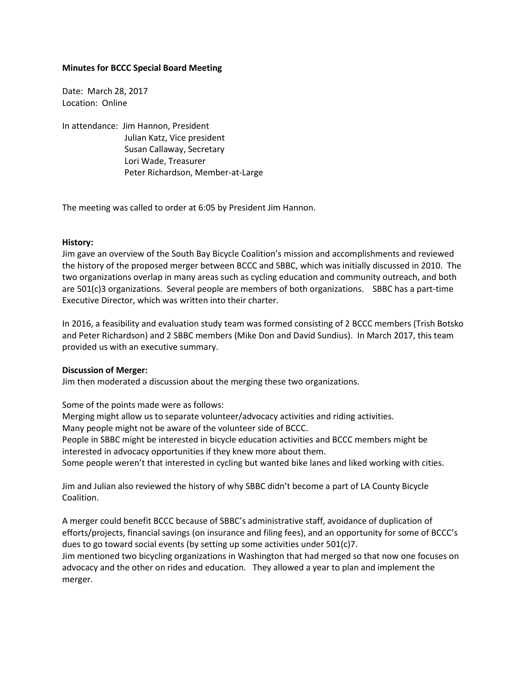## **Minutes for BCCC Special Board Meeting**

Date: March 28, 2017 Location: Online

In attendance: Jim Hannon, President Julian Katz, Vice president Susan Callaway, Secretary Lori Wade, Treasurer Peter Richardson, Member-at-Large

The meeting was called to order at 6:05 by President Jim Hannon.

## **History:**

Jim gave an overview of the South Bay Bicycle Coalition's mission and accomplishments and reviewed the history of the proposed merger between BCCC and SBBC, which was initially discussed in 2010. The two organizations overlap in many areas such as cycling education and community outreach, and both are 501(c)3 organizations. Several people are members of both organizations. SBBC has a part-time Executive Director, which was written into their charter.

In 2016, a feasibility and evaluation study team was formed consisting of 2 BCCC members (Trish Botsko and Peter Richardson) and 2 SBBC members (Mike Don and David Sundius). In March 2017, this team provided us with an executive summary.

## **Discussion of Merger:**

Jim then moderated a discussion about the merging these two organizations.

Some of the points made were as follows:

Merging might allow us to separate volunteer/advocacy activities and riding activities.

Many people might not be aware of the volunteer side of BCCC.

People in SBBC might be interested in bicycle education activities and BCCC members might be interested in advocacy opportunities if they knew more about them.

Some people weren't that interested in cycling but wanted bike lanes and liked working with cities.

Jim and Julian also reviewed the history of why SBBC didn't become a part of LA County Bicycle Coalition.

A merger could benefit BCCC because of SBBC's administrative staff, avoidance of duplication of efforts/projects, financial savings (on insurance and filing fees), and an opportunity for some of BCCC's dues to go toward social events (by setting up some activities under 501(c)7.

Jim mentioned two bicycling organizations in Washington that had merged so that now one focuses on advocacy and the other on rides and education. They allowed a year to plan and implement the merger.